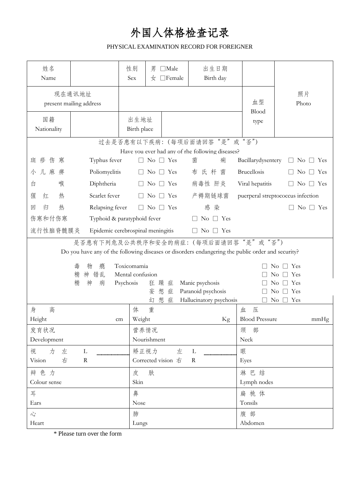## **外国人体格检查记录**

## PHYSICAL EXAMINATION RECORD FOR FOREIGNER

| 姓名<br>Name                                                                                        |                 | 性别<br>Sex           | 男<br>$\Box$ Male<br>$\Box$ Female<br>女 | 出生日期<br>Birth day |                                   |                                        |  |  |
|---------------------------------------------------------------------------------------------------|-----------------|---------------------|----------------------------------------|-------------------|-----------------------------------|----------------------------------------|--|--|
| 现在通讯地址<br>present mailing address                                                                 |                 |                     |                                        |                   |                                   | 照片<br>Photo                            |  |  |
| 国籍<br>Nationality                                                                                 |                 | 出生地址<br>Birth place |                                        |                   | Blood<br>type                     |                                        |  |  |
|                                                                                                   |                 |                     | 过去是否患有以下疾病:(每项后面请回答"是"                 | 或                 | "否")                              |                                        |  |  |
| Have you ever had any of rhe following diseases?                                                  |                 |                     |                                        |                   |                                   |                                        |  |  |
| 斑疹<br>伤<br>寒                                                                                      | Typhus fever    |                     | $No \square Yes$                       | 菌<br>痢            | Bacillarydysentery                | $\Box$ No $\Box$ Yes                   |  |  |
| 儿麻<br>痹<br>小                                                                                      | Poliomyelitis   |                     | $No \square Yes$                       | 氏杆<br>布<br>菌      | <b>Brucellosis</b>                | $\Box$ Yes<br>$\overline{N}_{O}$       |  |  |
| 喉<br>白                                                                                            | Diphtheria      |                     | $\mathrm{No} \square \mathrm{Yes}$     | 病毒性 肝炎            | Viral hepatitis                   | N <sub>o</sub><br>$\Box$ Yes<br>$\Box$ |  |  |
| 热<br>猩<br>红                                                                                       | Scarlet fever   |                     | $\rm No$<br>$\Box$ Yes                 | 产褥期链球菌            | puerperal streptococcus infection |                                        |  |  |
| 热<br>归<br>回                                                                                       | Relapsing fever |                     | $\Box$ No $\Box$ Yes                   | 感染                |                                   | $\mathrm{No} \square \mathrm{Yes}$     |  |  |
| 伤寒和付伤寒<br>Typhoid & paratyphoid fever<br>No $\Box$ Yes                                            |                 |                     |                                        |                   |                                   |                                        |  |  |
| 流行性脑脊髓膜炎<br>Epidemic cerebrospinal meningitis<br>No $\Box$ Yes<br>$\Box$                          |                 |                     |                                        |                   |                                   |                                        |  |  |
| 是否患有下列危及公共秩序和安全的病症:(每项后面请回答"是"或"否")                                                               |                 |                     |                                        |                   |                                   |                                        |  |  |
| Do you have any of the following diseases or disorders endangering the public order and security? |                 |                     |                                        |                   |                                   |                                        |  |  |
| 物<br>瘾<br>毒                                                                                       |                 |                     | Toxicomamia                            |                   |                                   | Yes<br>No                              |  |  |
| 错乱<br>精<br>神                                                                                      |                 |                     | Mental confusion                       |                   |                                   | Yes<br>No                              |  |  |
| 精<br>神<br>病<br>狂 躁<br>Psychosis<br>Manic psychosis<br>症<br>想<br>妄                                 |                 |                     |                                        |                   | Yes<br>No<br>Yes<br>$\rm No$      |                                        |  |  |
| 症<br>Paranoid psychosis<br>想<br>症<br>幻<br>Hallucinatory psychosis                                 |                 |                     |                                        | $\rm No$<br>Yes   |                                   |                                        |  |  |
| 高<br>身                                                                                            |                 | 体                   | 重                                      |                   | 压<br>血                            |                                        |  |  |
| Height                                                                                            |                 | Weight<br>cm        |                                        | Kg                | <b>Blood Pressure</b>             | mmHg                                   |  |  |
| 发育状况                                                                                              |                 |                     | 营养情况                                   |                   | 颈 部                               |                                        |  |  |
| Development                                                                                       |                 |                     | Nourishment                            |                   |                                   | $N\textup{eck}$                        |  |  |
| 力<br>视<br>左                                                                                       | $\mathbf{L}$    |                     | 矫正视力    左 L                            |                   | 眼                                 |                                        |  |  |
| Vision 右                                                                                          | ${\bf R}$       |                     | Corrected vision $\overline{t}$        | $\mathbf R$       | Eyes                              |                                        |  |  |
| 辩色力                                                                                               |                 | 皮 肤                 |                                        |                   | 淋巴结                               |                                        |  |  |
| Colour sense                                                                                      |                 |                     |                                        |                   | Lymph nodes                       |                                        |  |  |
| 耳                                                                                                 |                 | 鼻                   |                                        |                   | 扁桃体                               |                                        |  |  |
| Ears                                                                                              |                 | Nose                |                                        |                   | Tonsils                           |                                        |  |  |
| $\sqrt{2}$                                                                                        |                 | 肺                   |                                        |                   | 腹部                                |                                        |  |  |
| Heart                                                                                             |                 | Lungs               |                                        |                   | Abdomen                           |                                        |  |  |

\* Please turn over the form